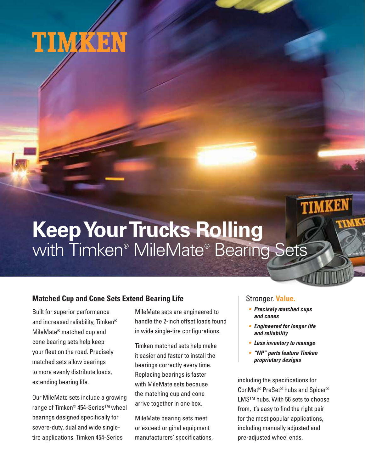

# **Keep Your Trucks Rolling** with Timken® MileMate® Bearing Sets

# **Matched Cup and Cone Sets Extend Bearing Life**

Built for superior performance and increased reliability, Timken® MileMate® matched cup and cone bearing sets help keep your fleet on the road. Precisely matched sets allow bearings to more evenly distribute loads, extending bearing life.

Our MileMate sets include a growing range of Timken® 454-Series™ wheel bearings designed specifically for severe-duty, dual and wide singletire applications. Timken 454-Series

MileMate sets are engineered to handle the 2-inch offset loads found in wide single-tire configurations.

Timken matched sets help make it easier and faster to install the bearings correctly every time. Replacing bearings is faster with MileMate sets because the matching cup and cone arrive together in one box.

MileMate bearing sets meet or exceed original equipment manufacturers' specifications,

## Stronger. **Value.**

**• Precisely matched cups and cones**

TIMKEN

- **Engineered for longer life and reliability**
- **Less inventory to manage**
- **"NP" parts feature Timken proprietary designs**

including the specifications for ConMet® PreSet® hubs and Spicer® LMS™ hubs. With 56 sets to choose from, it's easy to find the right pair for the most popular applications, including manually adjusted and pre-adjusted wheel ends.